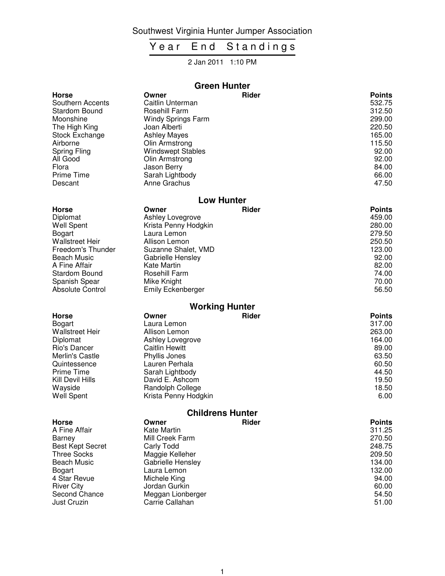Southwest Virginia Hunter Jumper Association

# Year End Standings

#### 2 Jan 2011 1:10 PM

| <b>Green Hunter</b>     |                           |              |               |  |
|-------------------------|---------------------------|--------------|---------------|--|
| <b>Horse</b>            | Owner                     | <b>Rider</b> | <b>Points</b> |  |
| Southern Accents        | Caitlin Unterman          |              | 532.75        |  |
| Stardom Bound           | Rosehill Farm             |              | 312.50        |  |
| Moonshine               | <b>Windy Springs Farm</b> |              | 299.00        |  |
| The High King           | Joan Alberti              |              | 220.50        |  |
| Stock Exchange          | <b>Ashley Mayes</b>       |              | 165.00        |  |
| Airborne                | Olin Armstrong            |              | 115.50        |  |
| <b>Spring Fling</b>     | <b>Windswept Stables</b>  |              | 92.00         |  |
| All Good                | Olin Armstrong            |              | 92.00         |  |
| Flora                   | Jason Berry               |              | 84.00         |  |
| Prime Time              | Sarah Lightbody           |              | 66.00         |  |
| Descant                 | Anne Grachus              |              | 47.50         |  |
|                         | <b>Low Hunter</b>         |              |               |  |
| <b>Horse</b>            | Owner                     | <b>Rider</b> | <b>Points</b> |  |
| Diplomat                | Ashley Lovegrove          |              | 459.00        |  |
| <b>Well Spent</b>       | Krista Penny Hodgkin      |              | 280.00        |  |
| <b>Bogart</b>           | Laura Lemon               |              | 279.50        |  |
| <b>Wallstreet Heir</b>  | Allison Lemon             |              | 250.50        |  |
| Freedom's Thunder       | Suzanne Shalet, VMD       |              | 123.00        |  |
| <b>Beach Music</b>      | Gabrielle Hensley         |              | 92.00         |  |
| A Fine Affair           | <b>Kate Martin</b>        |              | 82.00         |  |
| <b>Stardom Bound</b>    | Rosehill Farm             |              | 74.00         |  |
| Spanish Spear           | Mike Knight               |              | 70.00         |  |
| Absolute Control        | <b>Emily Eckenberger</b>  |              | 56.50         |  |
|                         | <b>Working Hunter</b>     |              |               |  |
| <b>Horse</b>            | Owner                     | <b>Rider</b> | <b>Points</b> |  |
| <b>Bogart</b>           | Laura Lemon               |              | 317.00        |  |
| <b>Wallstreet Heir</b>  | Allison Lemon             |              | 263.00        |  |
| Diplomat                | Ashley Lovegrove          |              | 164.00        |  |
| Rio's Dancer            | <b>Caitlin Hewitt</b>     |              | 89.00         |  |
| Merlin's Castle         | Phyllis Jones             |              | 63.50         |  |
| Quintessence            | Lauren Perhala            |              | 60.50         |  |
| <b>Prime Time</b>       | Sarah Lightbody           |              | 44.50         |  |
| Kill Devil Hills        | David E. Ashcom           |              | 19.50         |  |
| Wayside                 | Randolph College          |              | 18.50         |  |
| <b>Well Spent</b>       | Krista Penny Hodgkin      |              | 6.00          |  |
| <b>Childrens Hunter</b> |                           |              |               |  |
| <b>Horse</b>            | Owner                     | <b>Rider</b> | <b>Points</b> |  |
| A Fine Affair           | Kate Martin               |              | 311.25        |  |
| Barney                  | Mill Creek Farm           |              | 270.50        |  |
| <b>Best Kept Secret</b> | Carly Todd                |              | 248.75        |  |
| <b>Three Socks</b>      | Maggie Kelleher           |              | 209.50        |  |
| <b>Beach Music</b>      | Gabrielle Hensley         |              | 134.00        |  |
| <b>Bogart</b>           | Laura Lemon               |              | 132.00        |  |
| 4 Star Revue            | Michele King              |              | 94.00         |  |
| <b>River City</b>       | Jordan Gurkin             |              | 60.00         |  |
| Second Chance           | Meggan Lionberger         |              | 54.50         |  |
| Just Cruzin             | Carrie Callahan           |              | 51.00         |  |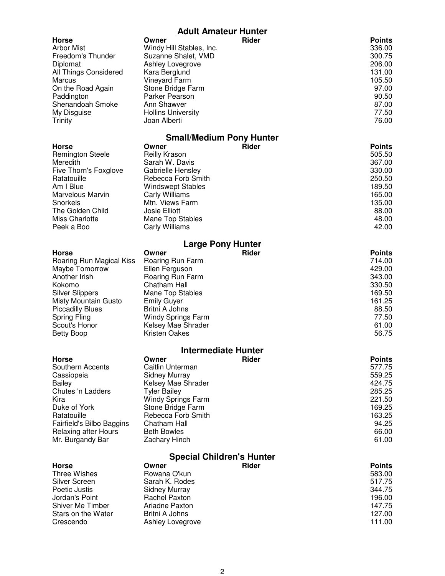# **Adult Amateur Hunter**

|                                                        | <b>Adult Amateur Hunter</b>                              |              |                                   |
|--------------------------------------------------------|----------------------------------------------------------|--------------|-----------------------------------|
| <b>Horse</b><br><b>Arbor Mist</b><br>Freedom's Thunder | Owner<br>Windy Hill Stables, Inc.<br>Suzanne Shalet, VMD | <b>Rider</b> | <b>Points</b><br>336.00<br>300.75 |
| Diplomat<br>All Things Considered                      | Ashley Lovegrove<br>Kara Berglund                        |              | 206.00<br>131.00                  |
| Marcus<br>On the Road Again<br>Paddington              | Vineyard Farm<br>Stone Bridge Farm<br>Parker Pearson     |              | 105.50<br>97.00<br>90.50          |
| Shenandoah Smoke<br>My Disguise                        | Ann Shawver<br><b>Hollins University</b>                 |              | 87.00<br>77.50                    |
| Trinity                                                | Joan Alberti                                             |              | 76.00                             |
| Horse                                                  | <b>Small/Medium Pony Hunter</b><br>Owner                 | <b>Rider</b> | <b>Points</b>                     |
| <b>Remington Steele</b>                                | Reilly Krason                                            |              | 505.50                            |
| Meredith                                               | Sarah W. Davis                                           |              | 367.00                            |
| Five Thorn's Foxglove<br>Ratatouille                   | Gabrielle Hensley<br>Rebecca Forb Smith                  |              | 330.00<br>250.50                  |
| Am I Blue                                              | <b>Windswept Stables</b>                                 |              | 189.50                            |
| Marvelous Marvin                                       | Carly Williams                                           |              | 165.00                            |
| Snorkels<br>The Golden Child                           | Mtn. Views Farm<br>Josie Elliott                         |              | 135.00<br>88.00                   |
| <b>Miss Charlotte</b>                                  | <b>Mane Top Stables</b>                                  |              | 48.00                             |
| Peek a Boo                                             | Carly Williams                                           |              | 42.00                             |
|                                                        | <b>Large Pony Hunter</b>                                 |              |                                   |
| <b>Horse</b>                                           | Owner                                                    | <b>Rider</b> | <b>Points</b>                     |
| Roaring Run Magical Kiss<br>Maybe Tomorrow             | Roaring Run Farm<br>Ellen Ferguson                       |              | 714.00<br>429.00                  |
| Another Irish                                          | Roaring Run Farm                                         |              | 343.00                            |
| Kokomo                                                 | Chatham Hall                                             |              | 330.50                            |
| <b>Silver Slippers</b>                                 | Mane Top Stables                                         |              | 169.50                            |
| <b>Misty Mountain Gusto</b><br><b>Piccadilly Blues</b> | <b>Emily Guyer</b><br>Britni A Johns                     |              | 161.25<br>88.50                   |
| <b>Spring Fling</b>                                    | <b>Windy Springs Farm</b>                                |              | 77.50                             |
| Scout's Honor                                          | Kelsey Mae Shrader                                       |              | 61.00                             |
| <b>Betty Boop</b>                                      | <b>Kristen Oakes</b>                                     |              | 56.75                             |
| <b>Intermediate Hunter</b>                             |                                                          |              |                                   |
| <b>Horse</b><br>Southern Accents                       | Owner<br>Caitlin Unterman                                | <b>Rider</b> | <b>Points</b><br>577.75           |
| Cassiopeia                                             | <b>Sidney Murray</b>                                     |              | 559.25                            |
| <b>Bailey</b>                                          | Kelsey Mae Shrader                                       |              | 424.75                            |
| Chutes 'n Ladders                                      | <b>Tyler Bailey</b>                                      |              | 285.25                            |
| Kira<br>Duke of York                                   | <b>Windy Springs Farm</b><br>Stone Bridge Farm           |              | 221.50<br>169.25                  |
| Ratatouille                                            | Rebecca Forb Smith                                       |              | 163.25                            |
| Fairfield's Bilbo Baggins                              | Chatham Hall                                             |              | 94.25                             |
| <b>Relaxing after Hours</b><br>Mr. Burgandy Bar        | <b>Beth Bowles</b><br>Zachary Hinch                      |              | 66.00<br>61.00                    |
| <b>Special Children's Hunter</b>                       |                                                          |              |                                   |
| <b>Horse</b>                                           | Owner                                                    | <b>Rider</b> | <b>Points</b>                     |
| <b>Three Wishes</b>                                    | Rowana O'kun                                             |              | 583.00                            |
| Silver Screen                                          | Sarah K. Rodes                                           |              | 517.75                            |
| Poetic Justis<br>Jordan's Point                        | <b>Sidney Murray</b><br><b>Rachel Paxton</b>             |              | 344.75<br>196.00                  |
| Shiver Me Timber                                       | Ariadne Paxton                                           |              | 147.75                            |
| Stars on the Water                                     | Britni A Johns                                           |              | 127.00                            |
| Crescendo                                              | Ashley Lovegrove                                         |              | 111.00                            |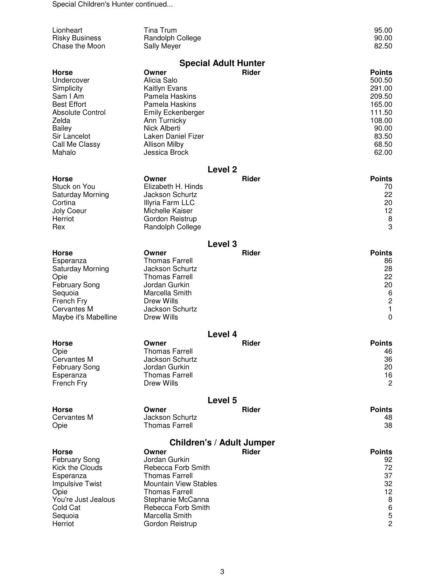Special Children's Hunter continued...

| Lionheart<br><b>Risky Business</b>            | Tina Trum<br>Randolph College                         |                                  |              | 95.00<br>90.00   |
|-----------------------------------------------|-------------------------------------------------------|----------------------------------|--------------|------------------|
| Chase the Moon                                | <b>Sally Meyer</b>                                    |                                  |              | 82.50            |
|                                               |                                                       | <b>Special Adult Hunter</b>      |              |                  |
| <b>Horse</b>                                  | Owner                                                 |                                  | <b>Rider</b> | <b>Points</b>    |
| Undercover                                    | Alicia Salo                                           |                                  |              | 500.50           |
| Simplicity                                    | Kaitlyn Evans                                         |                                  |              | 291.00           |
| Sam I Am                                      | Pamela Haskins                                        |                                  |              | 209.50           |
| <b>Best Effort</b><br><b>Absolute Control</b> | Pamela Haskins<br><b>Emily Eckenberger</b>            |                                  |              | 165.00<br>111.50 |
| Zelda                                         | Ann Turnicky                                          |                                  |              | 108.00           |
| <b>Bailey</b>                                 | Nick Alberti                                          |                                  |              | 90.00            |
| Sir Lancelot                                  | Laken Daniel Fizer                                    |                                  |              | 83.50            |
| Call Me Classy                                | <b>Allison Milby</b>                                  |                                  |              | 68.50            |
| Mahalo                                        | Jessica Brock                                         |                                  |              | 62.00            |
|                                               |                                                       | Level <sub>2</sub>               |              |                  |
| <b>Horse</b>                                  | Owner                                                 |                                  | <b>Rider</b> | <b>Points</b>    |
| Stuck on You                                  | Elizabeth H. Hinds                                    |                                  |              | 70               |
| Saturday Morning<br>Cortina                   | Jackson Schurtz<br>Illyria Farm LLC                   |                                  |              | 22<br>20         |
| Joly Coeur                                    | Michelle Kaiser                                       |                                  |              | 12               |
| Herriot                                       | Gordon Reistrup                                       |                                  |              | 8                |
| Rex                                           | Randolph College                                      |                                  |              | 3                |
|                                               |                                                       | Level <sub>3</sub>               |              |                  |
| <b>Horse</b>                                  | Owner                                                 |                                  | Rider        | <b>Points</b>    |
| Esperanza                                     | <b>Thomas Farrell</b>                                 |                                  |              | 86               |
| <b>Saturday Morning</b>                       | <b>Jackson Schurtz</b>                                |                                  |              | 28               |
| Opie                                          | <b>Thomas Farrell</b>                                 |                                  |              | 22               |
| <b>February Song</b>                          | Jordan Gurkin<br>Marcella Smith                       |                                  |              | 20<br>6          |
| Sequoia<br>French Fry                         | Drew Wills                                            |                                  |              | $\overline{c}$   |
| Cervantes M                                   | <b>Jackson Schurtz</b>                                |                                  |              | $\mathbf{1}$     |
| Maybe it's Mabelline                          | <b>Drew Wills</b>                                     |                                  |              | $\mathbf 0$      |
|                                               |                                                       | Level 4                          |              |                  |
| <b>Horse</b>                                  | Owner                                                 |                                  | <b>Rider</b> | <b>Points</b>    |
| Opie                                          | <b>Thomas Farrell</b>                                 |                                  |              | 46               |
| Cervantes M                                   | Jackson Schurtz                                       |                                  |              | 36               |
| <b>February Song</b>                          | Jordan Gurkin<br><b>Thomas Farrell</b>                |                                  |              | 20               |
| Esperanza<br>French Fry                       | Drew Wills                                            |                                  |              | 16<br>2          |
|                                               |                                                       | Level 5                          |              |                  |
| <b>Horse</b>                                  | Owner                                                 |                                  | Rider        | <b>Points</b>    |
| Cervantes M                                   | <b>Jackson Schurtz</b>                                |                                  |              | 48               |
| Opie                                          | <b>Thomas Farrell</b>                                 |                                  |              | 38               |
|                                               |                                                       | <b>Children's / Adult Jumper</b> |              |                  |
| <b>Horse</b>                                  | Owner                                                 |                                  | Rider        | <b>Points</b>    |
| <b>February Song</b>                          | Jordan Gurkin                                         |                                  |              | 92               |
| Kick the Clouds                               | Rebecca Forb Smith                                    |                                  |              | 72               |
| Esperanza<br><b>Impulsive Twist</b>           | <b>Thomas Farrell</b><br><b>Mountain View Stables</b> |                                  |              | 37<br>32         |
| Opie                                          | <b>Thomas Farrell</b>                                 |                                  |              | 12               |
| You're Just Jealous                           | Stephanie McCanna                                     |                                  |              | 8                |
| Cold Cat                                      | Rebecca Forb Smith                                    |                                  |              | $\,6$            |
| Sequoia                                       | Marcella Smith                                        |                                  |              | 5                |
| Herriot                                       | Gordon Reistrup                                       |                                  |              | $\overline{c}$   |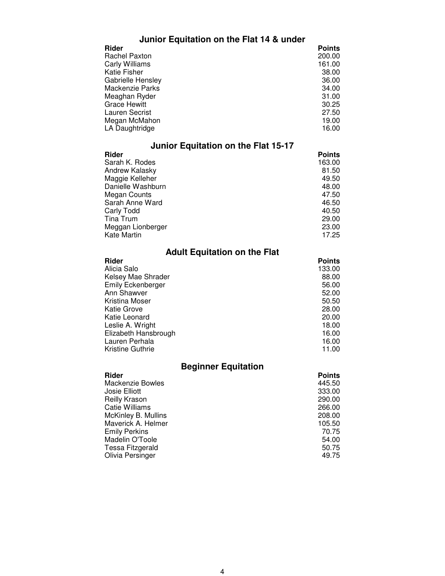### **Junior Equitation on the Flat 14 & under**

| <b>Points</b> |
|---------------|
| 200.00        |
| 161.00        |
| 38.00         |
| 36.00         |
| 34.00         |
| 31.00         |
| 30.25         |
| 27.50         |
| 19.00         |
| 16.00         |
|               |

### **Junior Equitation on the Flat 15-17**

| Rider             | <b>Points</b> |
|-------------------|---------------|
| Sarah K. Rodes    | 163.00        |
| Andrew Kalasky    | 81.50         |
| Maggie Kelleher   | 49.50         |
| Danielle Washburn | 48.00         |
| Megan Counts      | 47.50         |
| Sarah Anne Ward   | 46.50         |
| Carly Todd        | 40.50         |
| Tina Trum         | 29.00         |
| Meggan Lionberger | 23.00         |
| Kate Martin       | 17.25         |

#### **Adult Equitation on the Flat**

| <b>Points</b> |
|---------------|
| 133.00        |
| 88.00         |
| 56.00         |
| 52.00         |
| 50.50         |
| 28.00         |
| 20.00         |
| 18.00         |
| 16.00         |
| 16.00         |
| 11.00         |
|               |

### **Beginner Equitation**

| Rider                | <b>Points</b> |
|----------------------|---------------|
| Mackenzie Bowles     | 445.50        |
| Josie Elliott        | 333.00        |
| Reilly Krason        | 290.00        |
| Catie Williams       | 266.00        |
| McKinley B. Mullins  | 208.00        |
| Maverick A. Helmer   | 105.50        |
| <b>Emily Perkins</b> | 70.75         |
| Madelin O'Toole      | 54.00         |
| Tessa Fitzgerald     | 50.75         |
| Olivia Persinger     | 49.75         |
|                      |               |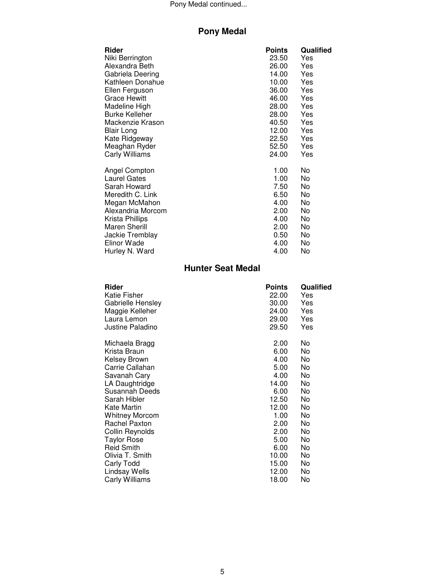#### Pony Medal continued...

# **Pony Medal**

| Rider                 | <b>Points</b> | Qualified |
|-----------------------|---------------|-----------|
| Niki Berrington       | 23.50         | Yes       |
| Alexandra Beth        | 26.00         | Yes       |
| Gabriela Deering      | 14.00         | Yes       |
| Kathleen Donahue      | 10.00         | Yes       |
| Ellen Ferguson        | 36.00         | Yes       |
| <b>Grace Hewitt</b>   | 46.00         | Yes       |
| Madeline High         | 28.00         | Yes       |
| <b>Burke Kelleher</b> | 28.00         | Yes       |
| Mackenzie Krason      | 40.50         | Yes       |
| Blair Long            | 12.00         | Yes       |
| Kate Ridgeway         | 22.50         | Yes       |
| Meaghan Ryder         | 52.50         | Yes       |
| Carly Williams        | 24.00         | Yes       |
| Angel Compton         | 1.00          | No.       |
| <b>Laurel Gates</b>   | 1.00          | No        |
| Sarah Howard          | 7.50          | No        |
| Meredith C. Link      | 6.50          | No        |
| Megan McMahon         | 4.00          | No        |
| Alexandria Morcom     | 2.00          | No        |
| Krista Phillips       | 4.00          | No        |
| Maren Sherill         | 2.00          | No        |
| Jackie Tremblay       | 0.50          | No        |
| Elinor Wade           | 4.00          | No        |
| Hurley N. Ward        | 4.00          | No        |

#### **Hunter Seat Medal**

| Rider                 | <b>Points</b> | Qualified |
|-----------------------|---------------|-----------|
| Katie Fisher          | 22.00         | Yes       |
| Gabrielle Hensley     | 30.00         | Yes       |
| Maggie Kelleher       | 24.00         | Yes       |
| Laura Lemon           | 29.00         | Yes       |
| Justine Paladino      | 29.50         | Yes       |
| Michaela Bragg        | 2.00          | No        |
| Krista Braun          | 6.00          | No        |
| Kelsey Brown          | 4.00          | No        |
| Carrie Callahan       | 5.00          | No        |
| Savanah Cary          | 4.00          | No        |
| LA Daughtridge        | 14.00         | No        |
| Susannah Deeds        | 6.00          | No        |
| Sarah Hibler          | 12.50         | No        |
| Kate Martin           | 12.00         | No        |
| <b>Whitney Morcom</b> | 1.00          | No        |
| <b>Rachel Paxton</b>  | 2.00          | No        |
| Collin Reynolds       | 2.00          | No        |
| <b>Taylor Rose</b>    | 5.00          | No        |
| <b>Reid Smith</b>     | 6.00          | No        |
| Olivia T. Smith       | 10.00         | No        |
| Carly Todd            | 15.00         | No        |
| Lindsay Wells         | 12.00         | No        |
| Carly Williams        | 18.00         | No        |